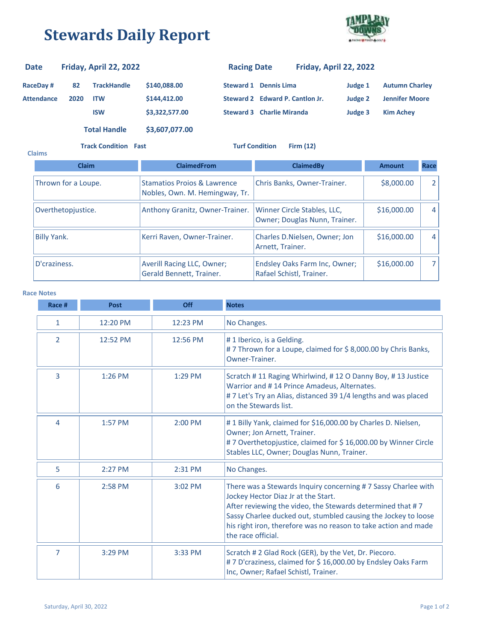## **Stewards Daily Report**



| <b>Date</b>       |      | Friday, April 22, 2022 |                | <b>Racing Date</b> |                                  | Friday, April 22, 2022 |                       |
|-------------------|------|------------------------|----------------|--------------------|----------------------------------|------------------------|-----------------------|
| <b>RaceDay#</b>   | 82   | <b>TrackHandle</b>     | \$140,088.00   | Steward 1          | <b>Dennis Lima</b>               | Judge 1                | <b>Autumn Charley</b> |
| <b>Attendance</b> | 2020 | <b>ITW</b>             | \$144,412,00   |                    | Steward 2 Edward P. Cantlon Jr.  | Judge 2                | <b>Jennifer Moore</b> |
|                   |      | <b>ISW</b>             | \$3,322,577.00 |                    | <b>Steward 3 Charlie Miranda</b> | Judge 3                | <b>Kim Achev</b>      |
|                   |      | <b>Total Handle</b>    | \$3,607,077.00 |                    |                                  |                        |                       |

**Track Condition Fast Turf Condition Firm (12)**

| <b>Claims</b>      |                     |                                                                          |                                                              |               |      |
|--------------------|---------------------|--------------------------------------------------------------------------|--------------------------------------------------------------|---------------|------|
|                    | <b>Claim</b>        | <b>ClaimedFrom</b>                                                       | <b>ClaimedBv</b>                                             | <b>Amount</b> | Race |
|                    | Thrown for a Loupe. | <b>Stamatios Projos &amp; Lawrence</b><br>Nobles, Own. M. Hemingway, Tr. | Chris Banks, Owner-Trainer.                                  | \$8,000.00    | 2    |
|                    | Overthetopjustice.  | Anthony Granitz, Owner-Trainer.                                          | Winner Circle Stables, LLC,<br>Owner; Douglas Nunn, Trainer. | \$16,000.00   | 4    |
| <b>Billy Yank.</b> |                     | Kerri Raven, Owner-Trainer.                                              | Charles D. Nielsen, Owner; Jon<br>Arnett, Trainer.           | \$16,000.00   | 4    |
| D'craziness.       |                     | Averill Racing LLC, Owner;<br>Gerald Bennett, Trainer.                   | Endsley Oaks Farm Inc, Owner;<br>Rafael Schistl, Trainer.    | \$16,000.00   |      |

## **Race Notes**

| Race #         | <b>Post</b> | Off      | <b>Notes</b>                                                                                                                                                                                                                                                                                                                  |
|----------------|-------------|----------|-------------------------------------------------------------------------------------------------------------------------------------------------------------------------------------------------------------------------------------------------------------------------------------------------------------------------------|
| 1              | 12:20 PM    | 12:23 PM | No Changes.                                                                                                                                                                                                                                                                                                                   |
| $\overline{2}$ | 12:52 PM    | 12:56 PM | #1 Iberico, is a Gelding.<br>#7 Thrown for a Loupe, claimed for \$8,000.00 by Chris Banks,<br>Owner-Trainer.                                                                                                                                                                                                                  |
| 3              | 1:26 PM     | 1:29 PM  | Scratch #11 Raging Whirlwind, #12 O Danny Boy, #13 Justice<br>Warrior and #14 Prince Amadeus, Alternates.<br>#7 Let's Try an Alias, distanced 39 1/4 lengths and was placed<br>on the Stewards list.                                                                                                                          |
| 4              | 1:57 PM     | 2:00 PM  | #1 Billy Yank, claimed for \$16,000.00 by Charles D. Nielsen,<br>Owner; Jon Arnett, Trainer.<br>#7 Overthetopjustice, claimed for \$16,000.00 by Winner Circle<br>Stables LLC, Owner; Douglas Nunn, Trainer.                                                                                                                  |
| 5              | 2:27 PM     | 2:31 PM  | No Changes.                                                                                                                                                                                                                                                                                                                   |
| 6              | 2:58 PM     | 3:02 PM  | There was a Stewards Inquiry concerning #7 Sassy Charlee with<br>Jockey Hector Diaz Jr at the Start.<br>After reviewing the video, the Stewards determined that #7<br>Sassy Charlee ducked out, stumbled causing the Jockey to loose<br>his right iron, therefore was no reason to take action and made<br>the race official. |
| 7              | 3:29 PM     | 3:33 PM  | Scratch # 2 Glad Rock (GER), by the Vet, Dr. Piecoro.<br>#7 D'craziness, claimed for \$ 16,000.00 by Endsley Oaks Farm<br>Inc, Owner; Rafael Schistl, Trainer.                                                                                                                                                                |